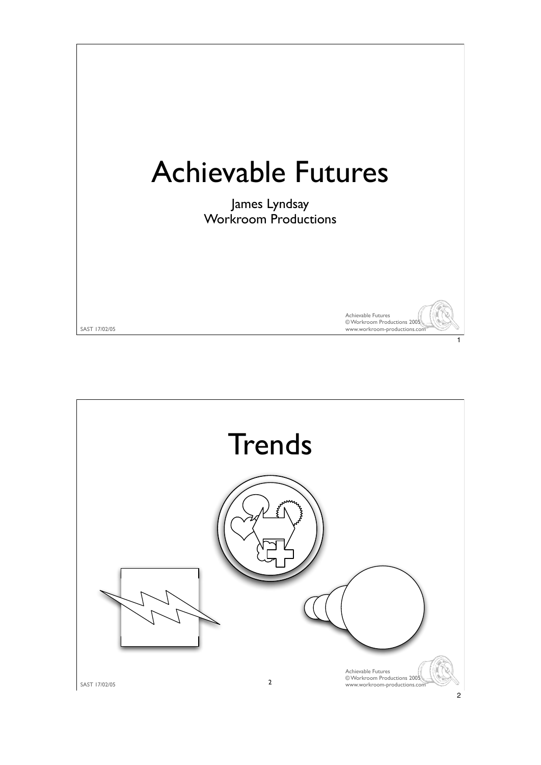

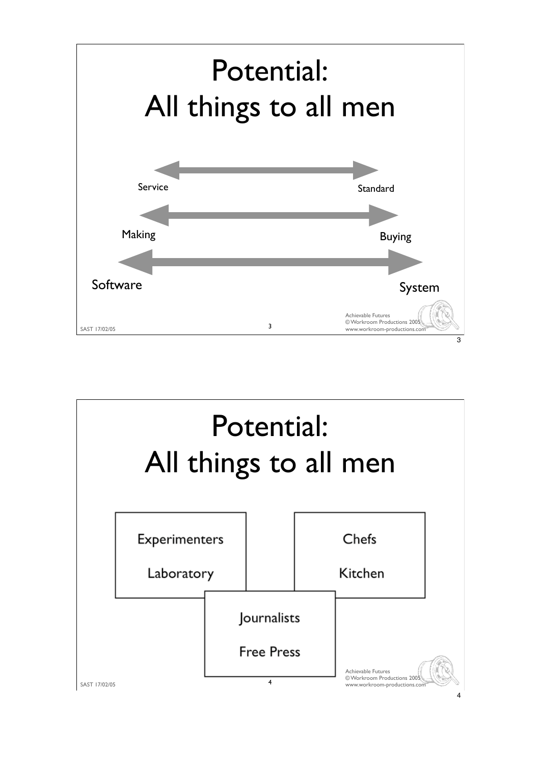

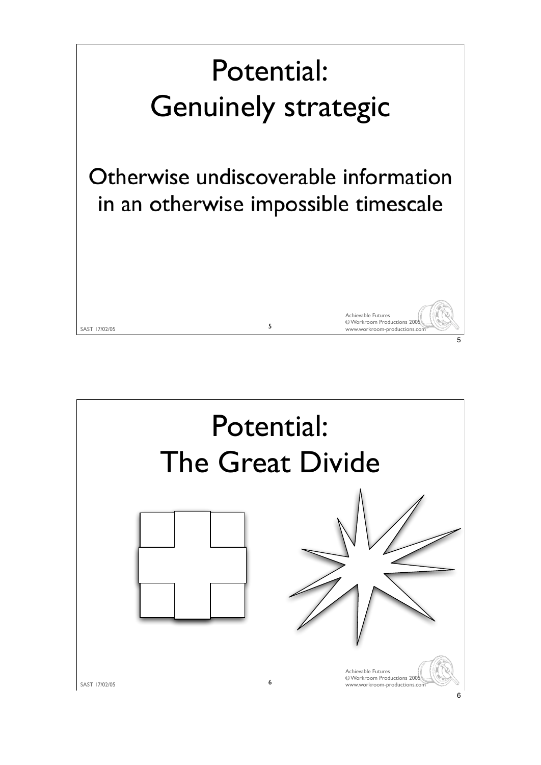

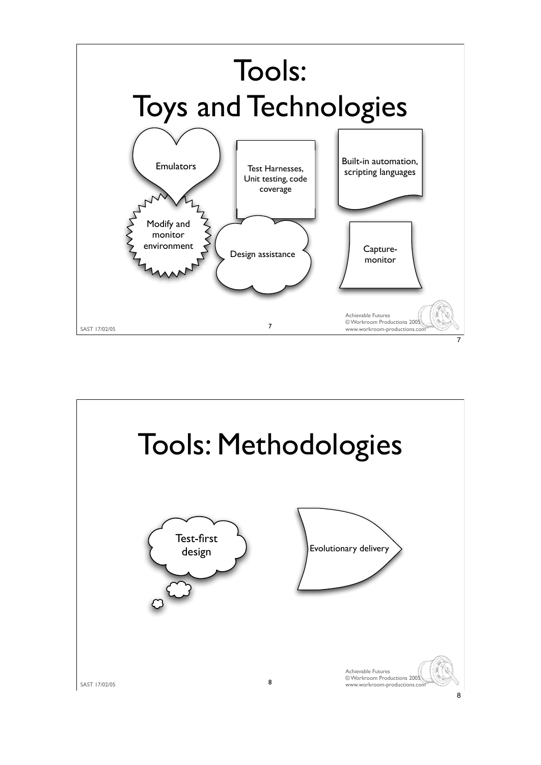

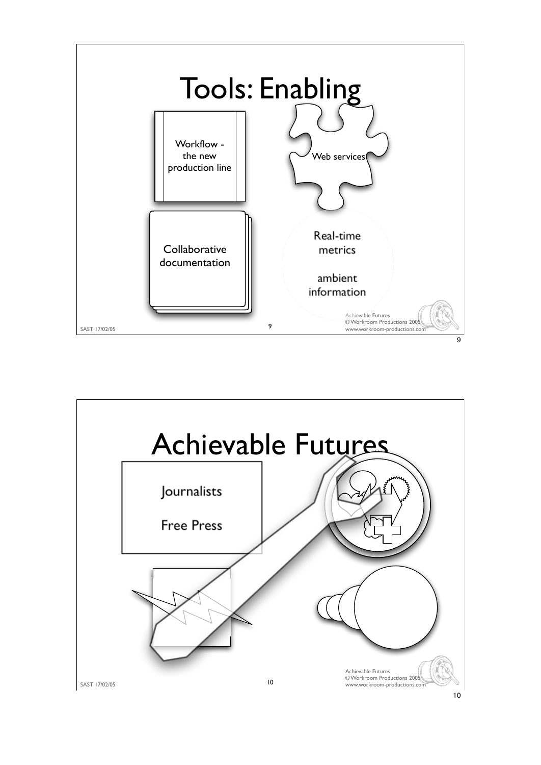

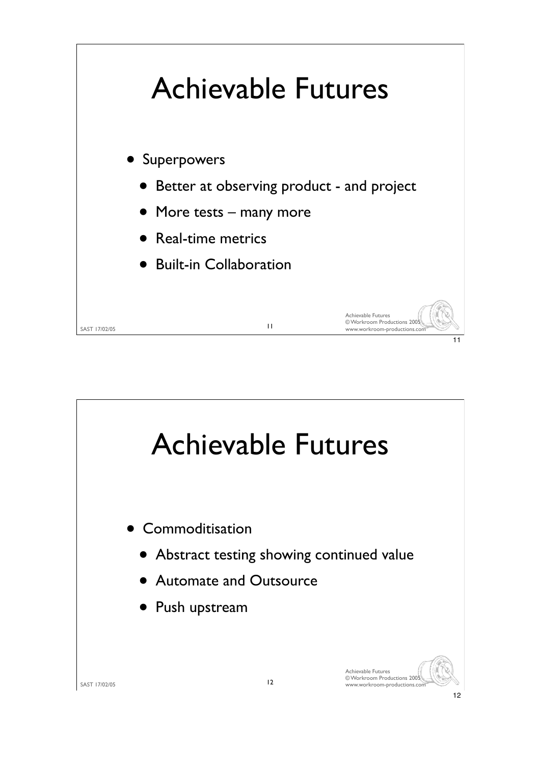

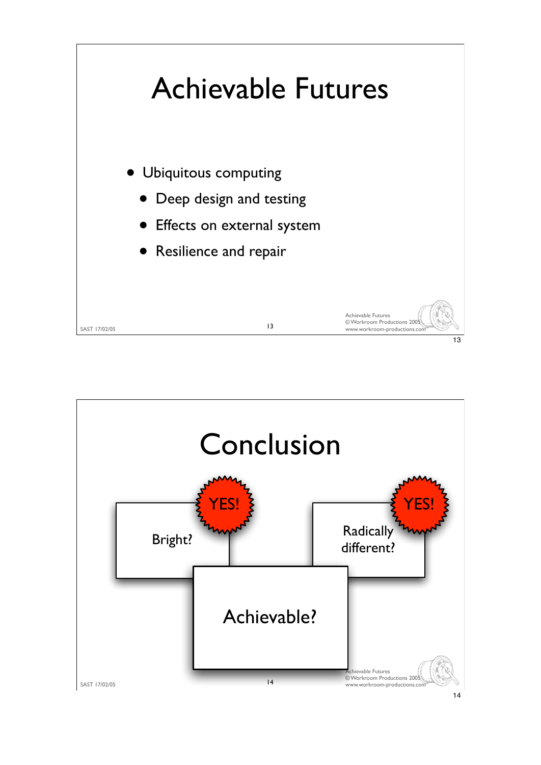